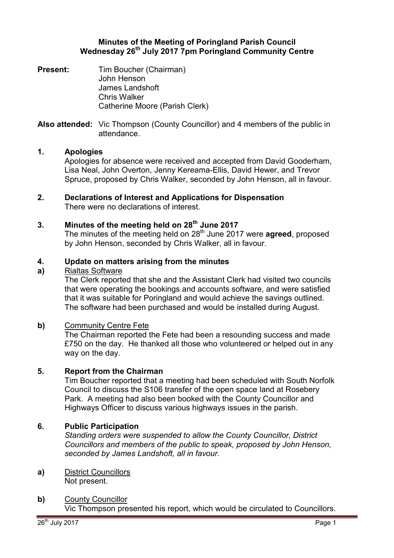### **Minutes of the Meeting of Poringland Parish Council Wednesday 26th July 2017 7pm Poringland Community Centre**

**Present:** Tim Boucher (Chairman) John Henson James Landshoft Chris Walker Catherine Moore (Parish Clerk)

**Also attended:** Vic Thompson (County Councillor) and 4 members of the public in attendance.

# **1. Apologies**

Apologies for absence were received and accepted from David Gooderham, Lisa Neal, John Overton, Jenny Kereama-Ellis, David Hewer, and Trevor Spruce, proposed by Chris Walker, seconded by John Henson, all in favour.

**2. Declarations of Interest and Applications for Dispensation** There were no declarations of interest.

### **3. Minutes of the meeting held on 28th June 2017**

The minutes of the meeting held on 28<sup>th</sup> June 2017 were **agreed**, proposed by John Henson, seconded by Chris Walker, all in favour.

#### **4. Update on matters arising from the minutes**

#### **a)**  Rialtas Software

The Clerk reported that she and the Assistant Clerk had visited two councils that were operating the bookings and accounts software, and were satisfied that it was suitable for Poringland and would achieve the savings outlined. The software had been purchased and would be installed during August.

### **b)** Community Centre Fete

The Chairman reported the Fete had been a resounding success and made £750 on the day. He thanked all those who volunteered or helped out in any way on the day.

### **5. Report from the Chairman**

Tim Boucher reported that a meeting had been scheduled with South Norfolk Council to discuss the S106 transfer of the open space land at Rosebery Park. A meeting had also been booked with the County Councillor and Highways Officer to discuss various highways issues in the parish.

## **6. Public Participation**

*Standing orders were suspended to allow the County Councillor, District Councillors and members of the public to speak, proposed by John Henson, seconded by James Landshoft, all in favour.* 

- **a)** District Councillors Not present.
- **b)** County Councillor Vic Thompson presented his report, which would be circulated to Councillors.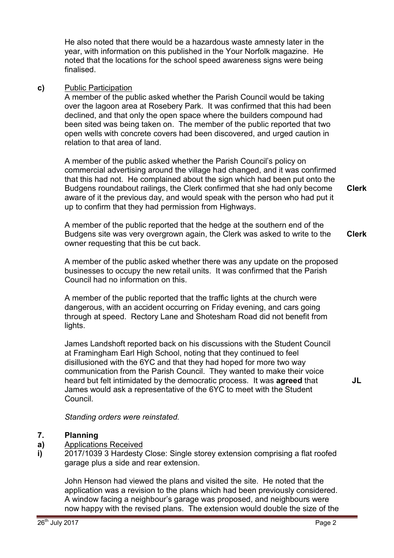He also noted that there would be a hazardous waste amnesty later in the year, with information on this published in the Your Norfolk magazine. He noted that the locations for the school speed awareness signs were being finalised.

### **c)** Public Participation

A member of the public asked whether the Parish Council would be taking over the lagoon area at Rosebery Park. It was confirmed that this had been declined, and that only the open space where the builders compound had been sited was being taken on. The member of the public reported that two open wells with concrete covers had been discovered, and urged caution in relation to that area of land.

A member of the public asked whether the Parish Council's policy on commercial advertising around the village had changed, and it was confirmed that this had not. He complained about the sign which had been put onto the Budgens roundabout railings, the Clerk confirmed that she had only become aware of it the previous day, and would speak with the person who had put it up to confirm that they had permission from Highways. **Clerk**

A member of the public reported that the hedge at the southern end of the Budgens site was very overgrown again, the Clerk was asked to write to the owner requesting that this be cut back. **Clerk**

A member of the public asked whether there was any update on the proposed businesses to occupy the new retail units. It was confirmed that the Parish Council had no information on this.

A member of the public reported that the traffic lights at the church were dangerous, with an accident occurring on Friday evening, and cars going through at speed. Rectory Lane and Shotesham Road did not benefit from lights.

James Landshoft reported back on his discussions with the Student Council at Framingham Earl High School, noting that they continued to feel disillusioned with the 6YC and that they had hoped for more two way communication from the Parish Council. They wanted to make their voice heard but felt intimidated by the democratic process. It was **agreed** that James would ask a representative of the 6YC to meet with the Student Council.

*Standing orders were reinstated.* 

#### **7. Planning**

- **a)**  Applications Received
- **i)**  2017/1039 3 Hardesty Close: Single storey extension comprising a flat roofed garage plus a side and rear extension.

John Henson had viewed the plans and visited the site. He noted that the application was a revision to the plans which had been previously considered. A window facing a neighbour's garage was proposed, and neighbours were now happy with the revised plans. The extension would double the size of the **JL**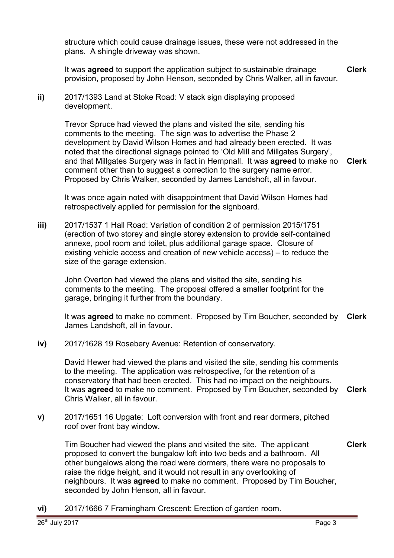structure which could cause drainage issues, these were not addressed in the plans. A shingle driveway was shown.

It was **agreed** to support the application subject to sustainable drainage provision, proposed by John Henson, seconded by Chris Walker, all in favour. **Clerk**

**ii)** 2017/1393 Land at Stoke Road: V stack sign displaying proposed development.

> Trevor Spruce had viewed the plans and visited the site, sending his comments to the meeting. The sign was to advertise the Phase 2 development by David Wilson Homes and had already been erected. It was noted that the directional signage pointed to 'Old Mill and Millgates Surgery', and that Millgates Surgery was in fact in Hempnall. It was **agreed** to make no comment other than to suggest a correction to the surgery name error. Proposed by Chris Walker, seconded by James Landshoft, all in favour. **Clerk**

It was once again noted with disappointment that David Wilson Homes had retrospectively applied for permission for the signboard.

**iii)** 2017/1537 1 Hall Road: Variation of condition 2 of permission 2015/1751 (erection of two storey and single storey extension to provide self-contained annexe, pool room and toilet, plus additional garage space. Closure of existing vehicle access and creation of new vehicle access) – to reduce the size of the garage extension.

John Overton had viewed the plans and visited the site, sending his comments to the meeting. The proposal offered a smaller footprint for the garage, bringing it further from the boundary.

It was **agreed** to make no comment. Proposed by Tim Boucher, seconded by James Landshoft, all in favour. **Clerk**

**iv)** 2017/1628 19 Rosebery Avenue: Retention of conservatory.

David Hewer had viewed the plans and visited the site, sending his comments to the meeting. The application was retrospective, for the retention of a conservatory that had been erected. This had no impact on the neighbours. It was **agreed** to make no comment. Proposed by Tim Boucher, seconded by **Clerk** Chris Walker, all in favour.

**v)** 2017/1651 16 Upgate: Loft conversion with front and rear dormers, pitched roof over front bay window.

Tim Boucher had viewed the plans and visited the site. The applicant proposed to convert the bungalow loft into two beds and a bathroom. All other bungalows along the road were dormers, there were no proposals to raise the ridge height, and it would not result in any overlooking of neighbours. It was **agreed** to make no comment. Proposed by Tim Boucher, seconded by John Henson, all in favour. **Clerk**

**vi)** 2017/1666 7 Framingham Crescent: Erection of garden room.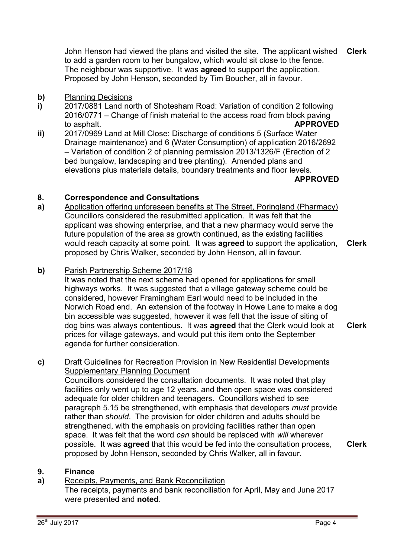John Henson had viewed the plans and visited the site. The applicant wished to add a garden room to her bungalow, which would sit close to the fence. The neighbour was supportive. It was **agreed** to support the application. Proposed by John Henson, seconded by Tim Boucher, all in favour. **Clerk**

#### **b)** Planning Decisions

- **i)**  2017/0881 Land north of Shotesham Road: Variation of condition 2 following 2016/0771 – Change of finish material to the access road from block paving to asphalt. **APPROVED**
- **ii)**  2017/0969 Land at Mill Close: Discharge of conditions 5 (Surface Water Drainage maintenance) and 6 (Water Consumption) of application 2016/2692 – Variation of condition 2 of planning permission 2013/1326/F (Erection of 2 bed bungalow, landscaping and tree planting). Amended plans and elevations plus materials details, boundary treatments and floor levels. **APPROVED**

#### **8. Correspondence and Consultations**

**a)**  Application offering unforeseen benefits at The Street, Poringland (Pharmacy) Councillors considered the resubmitted application. It was felt that the applicant was showing enterprise, and that a new pharmacy would serve the future population of the area as growth continued, as the existing facilities would reach capacity at some point. It was **agreed** to support the application, proposed by Chris Walker, seconded by John Henson, all in favour. **Clerk**

## **b)** Parish Partnership Scheme 2017/18

It was noted that the next scheme had opened for applications for small highways works. It was suggested that a village gateway scheme could be considered, however Framingham Earl would need to be included in the Norwich Road end. An extension of the footway in Howe Lane to make a dog bin accessible was suggested, however it was felt that the issue of siting of dog bins was always contentious. It was **agreed** that the Clerk would look at prices for village gateways, and would put this item onto the September agenda for further consideration. **Clerk**

#### **c)** Draft Guidelines for Recreation Provision in New Residential Developments Supplementary Planning Document

Councillors considered the consultation documents. It was noted that play facilities only went up to age 12 years, and then open space was considered adequate for older children and teenagers. Councillors wished to see paragraph 5.15 be strengthened, with emphasis that developers *must* provide rather than *should*. The provision for older children and adults should be strengthened, with the emphasis on providing facilities rather than open space. It was felt that the word *can* should be replaced with *will* wherever possible. It was **agreed** that this would be fed into the consultation process, proposed by John Henson, seconded by Chris Walker, all in favour.

**Clerk**

#### **9. Finance**

#### **a)**  Receipts, Payments, and Bank Reconciliation

The receipts, payments and bank reconciliation for April, May and June 2017 were presented and **noted**.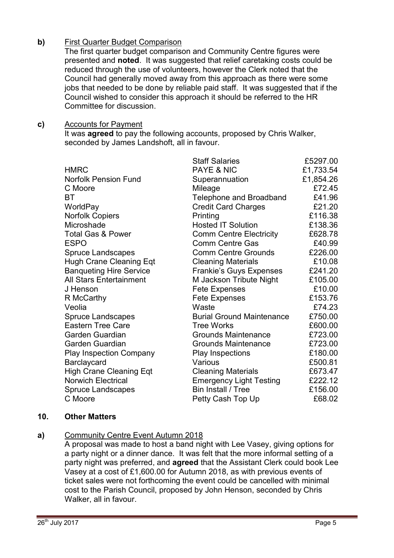## **b)** First Quarter Budget Comparison

The first quarter budget comparison and Community Centre figures were presented and **noted**. It was suggested that relief caretaking costs could be reduced through the use of volunteers, however the Clerk noted that the Council had generally moved away from this approach as there were some jobs that needed to be done by reliable paid staff. It was suggested that if the Council wished to consider this approach it should be referred to the HR Committee for discussion.

### **c)** Accounts for Payment

It was **agreed** to pay the following accounts, proposed by Chris Walker, seconded by James Landshoft, all in favour.

|                                | <b>Staff Salaries</b>            | £5297.00  |
|--------------------------------|----------------------------------|-----------|
| <b>HMRC</b>                    | <b>PAYE &amp; NIC</b>            | £1,733.54 |
| <b>Norfolk Pension Fund</b>    | Superannuation                   | £1,854.26 |
| C Moore                        | Mileage                          | £72.45    |
| ВT                             | <b>Telephone and Broadband</b>   | £41.96    |
| WorldPay                       | <b>Credit Card Charges</b>       | £21.20    |
| <b>Norfolk Copiers</b>         | Printing                         | £116.38   |
| Microshade                     | <b>Hosted IT Solution</b>        | £138.36   |
| <b>Total Gas &amp; Power</b>   | <b>Comm Centre Electricity</b>   | £628.78   |
| <b>ESPO</b>                    | <b>Comm Centre Gas</b>           | £40.99    |
| <b>Spruce Landscapes</b>       | <b>Comm Centre Grounds</b>       | £226.00   |
| <b>Hugh Crane Cleaning Eqt</b> | <b>Cleaning Materials</b>        | £10.08    |
| <b>Banqueting Hire Service</b> | <b>Frankie's Guys Expenses</b>   | £241.20   |
| <b>All Stars Entertainment</b> | M Jackson Tribute Night          | £105.00   |
| J Henson                       | <b>Fete Expenses</b>             | £10.00    |
| R McCarthy                     | <b>Fete Expenses</b>             | £153.76   |
| Veolia                         | Waste                            | £74.23    |
| <b>Spruce Landscapes</b>       | <b>Burial Ground Maintenance</b> | £750.00   |
| <b>Eastern Tree Care</b>       | <b>Tree Works</b>                | £600.00   |
| Garden Guardian                | <b>Grounds Maintenance</b>       | £723.00   |
| Garden Guardian                | <b>Grounds Maintenance</b>       | £723.00   |
| <b>Play Inspection Company</b> | <b>Play Inspections</b>          | £180.00   |
| Barclaycard                    | Various                          | £500.81   |
| <b>High Crane Cleaning Eqt</b> | <b>Cleaning Materials</b>        | £673.47   |
| <b>Norwich Electrical</b>      | <b>Emergency Light Testing</b>   | £222.12   |
| <b>Spruce Landscapes</b>       | Bin Install / Tree               | £156.00   |
| C Moore                        | Petty Cash Top Up                | £68.02    |

### **10. Other Matters**

## **a)** Community Centre Event Autumn 2018

A proposal was made to host a band night with Lee Vasey, giving options for a party night or a dinner dance. It was felt that the more informal setting of a party night was preferred, and **agreed** that the Assistant Clerk could book Lee Vasey at a cost of £1,600.00 for Autumn 2018, as with previous events of ticket sales were not forthcoming the event could be cancelled with minimal cost to the Parish Council, proposed by John Henson, seconded by Chris Walker, all in favour.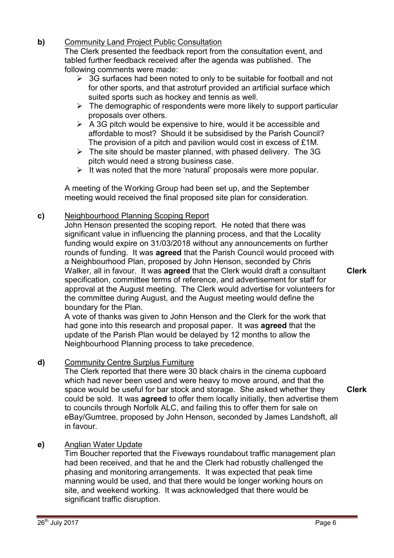# **b)** Community Land Project Public Consultation

The Clerk presented the feedback report from the consultation event, and tabled further feedback received after the agenda was published. The following comments were made:

- $\geq$  3G surfaces had been noted to only to be suitable for football and not for other sports, and that astroturf provided an artificial surface which suited sports such as hockey and tennis as well.
- $\triangleright$  The demographic of respondents were more likely to support particular proposals over others.
- $\triangleright$  A 3G pitch would be expensive to hire, would it be accessible and affordable to most? Should it be subsidised by the Parish Council? The provision of a pitch and pavilion would cost in excess of £1M.
- $\triangleright$  The site should be master planned, with phased delivery. The 3G pitch would need a strong business case.
- $\triangleright$  It was noted that the more 'natural' proposals were more popular.

A meeting of the Working Group had been set up, and the September meeting would received the final proposed site plan for consideration.

## **c)** Neighbourhood Planning Scoping Report

John Henson presented the scoping report. He noted that there was significant value in influencing the planning process, and that the Locality funding would expire on 31/03/2018 without any announcements on further rounds of funding. It was **agreed** that the Parish Council would proceed with a Neighbourhood Plan, proposed by John Henson, seconded by Chris Walker, all in favour. It was **agreed** that the Clerk would draft a consultant specification, committee terms of reference, and advertisement for staff for approval at the August meeting. The Clerk would advertise for volunteers for the committee during August, and the August meeting would define the boundary for the Plan.

A vote of thanks was given to John Henson and the Clerk for the work that had gone into this research and proposal paper. It was **agreed** that the update of the Parish Plan would be delayed by 12 months to allow the Neighbourhood Planning process to take precedence.

## **d)** Community Centre Surplus Furniture

The Clerk reported that there were 30 black chairs in the cinema cupboard which had never been used and were heavy to move around, and that the space would be useful for bar stock and storage. She asked whether they could be sold. It was **agreed** to offer them locally initially, then advertise them to councils through Norfolk ALC, and failing this to offer them for sale on eBay/Gumtree, proposed by John Henson, seconded by James Landshoft, all in favour.

## **e)** Anglian Water Update

Tim Boucher reported that the Fiveways roundabout traffic management plan had been received, and that he and the Clerk had robustly challenged the phasing and monitoring arrangements. It was expected that peak time manning would be used, and that there would be longer working hours on site, and weekend working. It was acknowledged that there would be significant traffic disruption.

**Clerk**